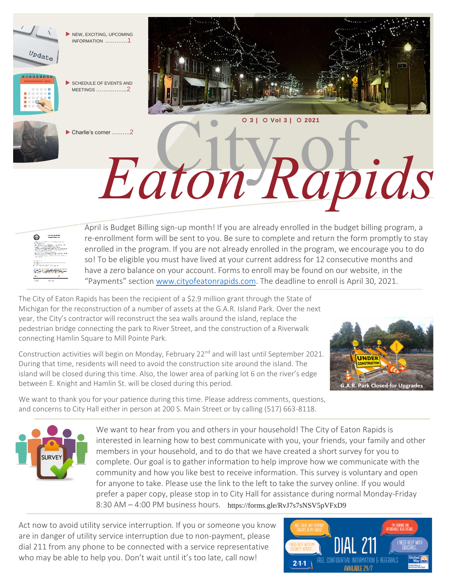



April is Budget Billing sign-up month! If you are already enrolled in the budget billing program, a re-enrollment form will be sent to you. Be sure to complete and return the form promptly to stay enrolled in the program. If you are not already enrolled in the program, we encourage you to do so! To be eligible you must have lived at your current address for 12 consecutive months and have a zero balance on your account. Forms to enroll may be found on our website, in the "Payments" section [www.cityofeatonrapids.com.](http://www.cityofeatonrapids.com/) The deadline to enroll is April 30, 2021.

City of *Eaton Rapids*

The City of Eaton Rapids has been the recipient of a \$2.9 million grant through the State of Michigan for the reconstruction of a number of assets at the G.A.R. Island Park. Over the next year, the City's contractor will reconstruct the sea walls around the island, replace the pedestrian bridge connecting the park to River Street, and the construction of a Riverwalk connecting Hamlin Square to Mill Pointe Park.

Construction activities will begin on Monday, February 22<sup>nd</sup> and will last until September 2021. During that time, residents will need to avoid the construction site around the island. The island will be closed during this time. Also, the lower area of parking lot 6 on the river's edge between E. Knight and Hamlin St. will be closed during this period.



We want to thank you for your patience during this time. Please address comments, questions, and concerns to City Hall either in person at 200 S. Main Street or by calling (517) 663-8118.



We want to hear from you and others in your household! The City of Eaton Rapids is interested in learning how to best communicate with you, your friends, your family and other members in your household, and to do that we have created a short survey for you to complete. Our goal is to gather information to help improve how we communicate with the community and how you like best to receive information. This survey is voluntary and open for anyone to take. Please use the link to the left to take the survey online. If you would prefer a paper copy, please stop in to City Hall for assistance during normal Monday-Friday 8:30 AM – 4:00 PM business hours. https://forms.gle/RvJ7s7sNSV5pVFxD9

Act now to avoid utility service interruption. If you or someone you know are in danger of utility service interruption due to non-payment, please dial 211 from any phone to be connected with a service representative who may be able to help you. Don't wait until it's too late, call now!